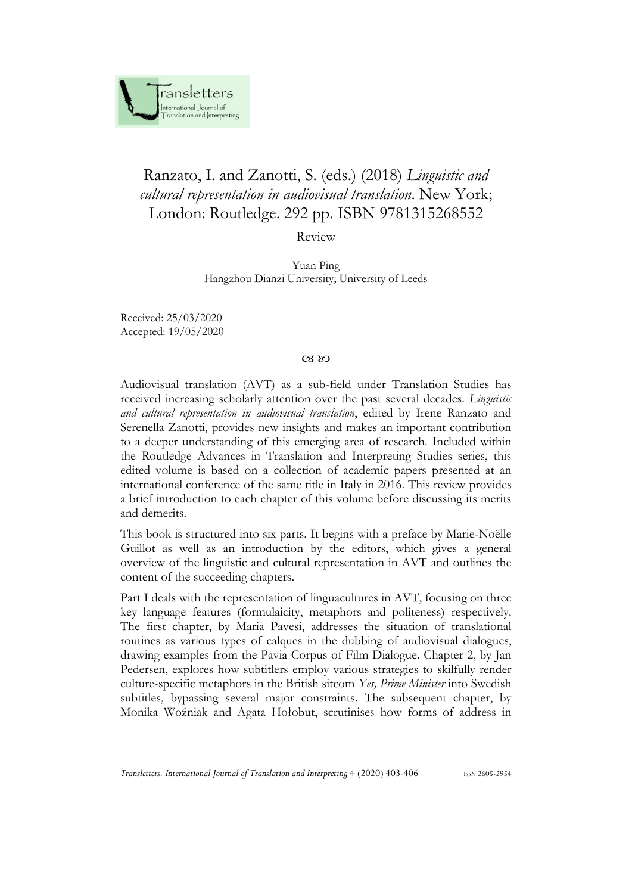

## Ranzato, I. and Zanotti, S. (eds.) (2018) *Linguistic and cultural representation in audiovisual translation*. New York; London: Routledge. 292 pp. ISBN 9781315268552

Review

Yuan Ping Hangzhou Dianzi University; University of Leeds

Received: 25/03/2020 Accepted: 19/05/2020

## $C3$   $80$

Audiovisual translation (AVT) as a sub-field under Translation Studies has received increasing scholarly attention over the past several decades. *Linguistic and cultural representation in audiovisual translation*, edited by Irene Ranzato and Serenella Zanotti, provides new insights and makes an important contribution to a deeper understanding of this emerging area of research. Included within the Routledge Advances in Translation and Interpreting Studies series, this edited volume is based on a collection of academic papers presented at an international conference of the same title in Italy in 2016. This review provides a brief introduction to each chapter of this volume before discussing its merits and demerits.

This book is structured into six parts. It begins with a preface by Marie-Noëlle Guillot as well as an introduction by the editors, which gives a general overview of the linguistic and cultural representation in AVT and outlines the content of the succeeding chapters.

Part I deals with the representation of linguacultures in AVT, focusing on three key language features (formulaicity, metaphors and politeness) respectively. The first chapter, by Maria Pavesi, addresses the situation of translational routines as various types of calques in the dubbing of audiovisual dialogues, drawing examples from the Pavia Corpus of Film Dialogue. Chapter 2, by Jan Pedersen, explores how subtitlers employ various strategies to skilfully render culture-specific metaphors in the British sitcom *Yes, Prime Minister* into Swedish subtitles, bypassing several major constraints. The subsequent chapter, by Monika Woźniak and Agata Hołobut, scrutinises how forms of address in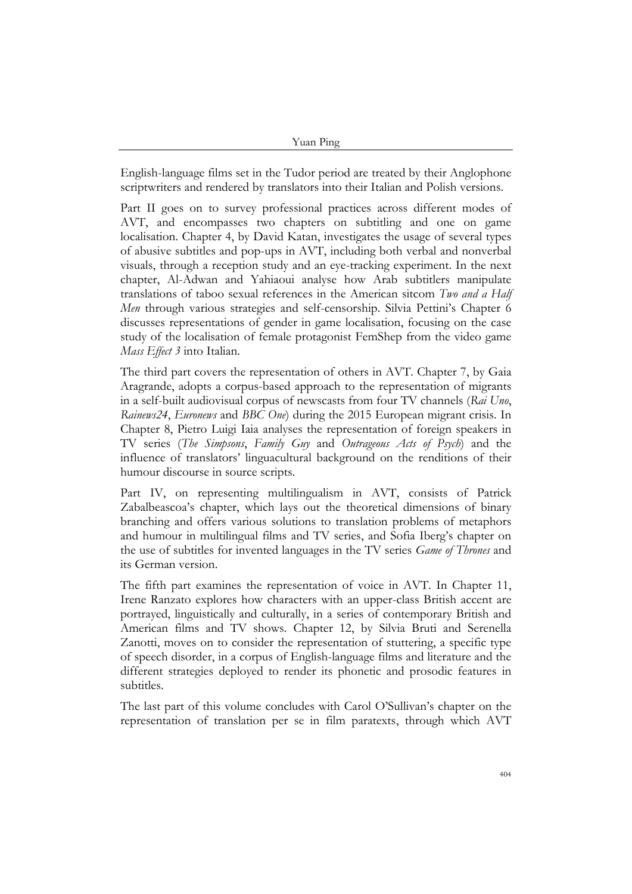Yuan Ping

English-language films set in the Tudor period are treated by their Anglophone scriptwriters and rendered by translators into their Italian and Polish versions.

Part II goes on to survey professional practices across different modes of AVT, and encompasses two chapters on subtitling and one on game localisation. Chapter 4, by David Katan, investigates the usage of several types of abusive subtitles and pop-ups in AVT, including both verbal and nonverbal visuals, through a reception study and an eye-tracking experiment. In the next chapter, Al-Adwan and Yahiaoui analyse how Arab subtitlers manipulate translations of taboo sexual references in the American sitcom *Two and a Half Men* through various strategies and self-censorship. Silvia Pettini's Chapter 6 discusses representations of gender in game localisation, focusing on the case study of the localisation of female protagonist FemShep from the video game *Mass Effect 3* into Italian.

The third part covers the representation of others in AVT. Chapter 7, by Gaia Aragrande, adopts a corpus-based approach to the representation of migrants in a self-built audiovisual corpus of newscasts from four TV channels (*Rai Uno*, *Rainews24*, *Euronews* and *BBC One*) during the 2015 European migrant crisis. In Chapter 8, Pietro Luigi Iaia analyses the representation of foreign speakers in TV series (*The Simpsons*, *Family Guy* and *Outrageous Acts of Psych*) and the influence of translators' linguacultural background on the renditions of their humour discourse in source scripts.

Part IV, on representing multilingualism in AVT, consists of Patrick Zabalbeascoa's chapter, which lays out the theoretical dimensions of binary branching and offers various solutions to translation problems of metaphors and humour in multilingual films and TV series, and Sofia Iberg's chapter on the use of subtitles for invented languages in the TV series *Game of Thrones* and its German version.

The fifth part examines the representation of voice in AVT. In Chapter 11, Irene Ranzato explores how characters with an upper-class British accent are portrayed, linguistically and culturally, in a series of contemporary British and American films and TV shows. Chapter 12, by Silvia Bruti and Serenella Zanotti, moves on to consider the representation of stuttering, a specific type of speech disorder, in a corpus of English-language films and literature and the different strategies deployed to render its phonetic and prosodic features in subtitles.

The last part of this volume concludes with Carol O'Sullivan's chapter on the representation of translation per se in film paratexts, through which AVT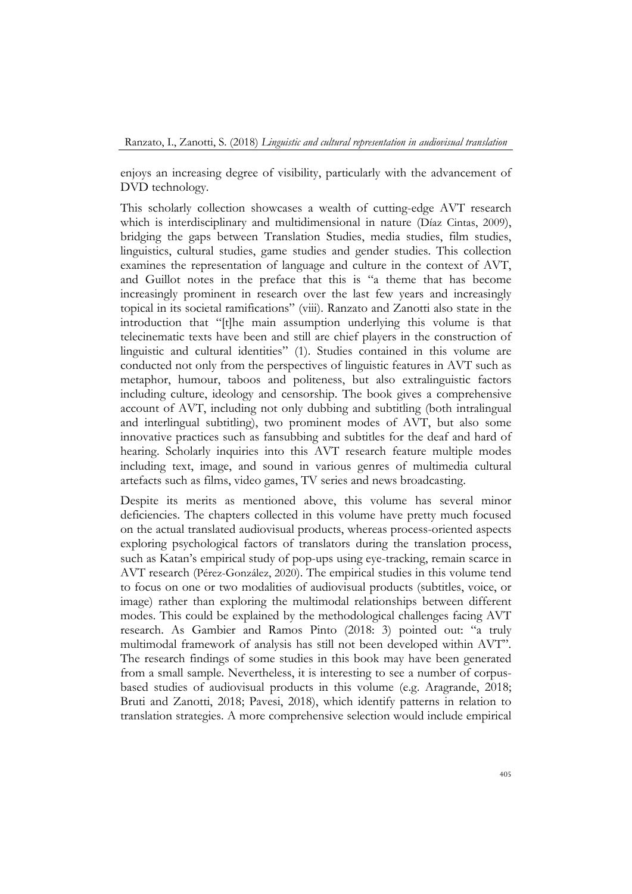enjoys an increasing degree of visibility, particularly with the advancement of DVD technology.

This scholarly collection showcases a wealth of cutting-edge AVT research which is interdisciplinary and multidimensional in nature (Díaz Cintas, 2009), bridging the gaps between Translation Studies, media studies, film studies, linguistics, cultural studies, game studies and gender studies. This collection examines the representation of language and culture in the context of AVT, and Guillot notes in the preface that this is "a theme that has become increasingly prominent in research over the last few years and increasingly topical in its societal ramifications" (viii). Ranzato and Zanotti also state in the introduction that "[t]he main assumption underlying this volume is that telecinematic texts have been and still are chief players in the construction of linguistic and cultural identities" (1). Studies contained in this volume are conducted not only from the perspectives of linguistic features in AVT such as metaphor, humour, taboos and politeness, but also extralinguistic factors including culture, ideology and censorship. The book gives a comprehensive account of AVT, including not only dubbing and subtitling (both intralingual and interlingual subtitling), two prominent modes of AVT, but also some innovative practices such as fansubbing and subtitles for the deaf and hard of hearing. Scholarly inquiries into this AVT research feature multiple modes including text, image, and sound in various genres of multimedia cultural artefacts such as films, video games, TV series and news broadcasting.

Despite its merits as mentioned above, this volume has several minor deficiencies. The chapters collected in this volume have pretty much focused on the actual translated audiovisual products, whereas process-oriented aspects exploring psychological factors of translators during the translation process, such as Katan's empirical study of pop-ups using eye-tracking, remain scarce in AVT research (Pérez-González, 2020). The empirical studies in this volume tend to focus on one or two modalities of audiovisual products (subtitles, voice, or image) rather than exploring the multimodal relationships between different modes. This could be explained by the methodological challenges facing AVT research. As Gambier and Ramos Pinto (2018: 3) pointed out: "a truly multimodal framework of analysis has still not been developed within AVT". The research findings of some studies in this book may have been generated from a small sample. Nevertheless, it is interesting to see a number of corpusbased studies of audiovisual products in this volume (e.g. Aragrande, 2018; Bruti and Zanotti, 2018; Pavesi, 2018), which identify patterns in relation to translation strategies. A more comprehensive selection would include empirical